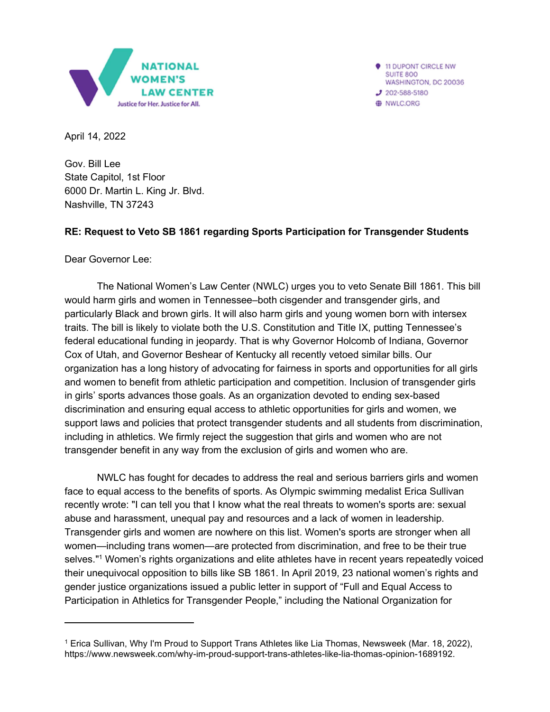

**11 DUPONT CIRCLE NW SUITE 800** WASHINGTON, DC 20036  $J$  202-588-5180 **D** NWLC.ORG

April 14, 2022

Gov. Bill Lee State Capitol, 1st Floor 6000 Dr. Martin L. King Jr. Blvd. Nashville, TN 37243

## RE: Request to Veto SB 1861 regarding Sports Participation for Transgender Students

Dear Governor Lee:

The National Women's Law Center (NWLC) urges you to veto Senate Bill 1861. This bill would harm girls and women in Tennessee–both cisgender and transgender girls, and particularly Black and brown girls. It will also harm girls and young women born with intersex traits. The bill is likely to violate both the U.S. Constitution and Title IX, putting Tennessee's federal educational funding in jeopardy. That is why Governor Holcomb of Indiana, Governor Cox of Utah, and Governor Beshear of Kentucky all recently vetoed similar bills. Our organization has a long history of advocating for fairness in sports and opportunities for all girls and women to benefit from athletic participation and competition. Inclusion of transgender girls in girls' sports advances those goals. As an organization devoted to ending sex-based discrimination and ensuring equal access to athletic opportunities for girls and women, we support laws and policies that protect transgender students and all students from discrimination, including in athletics. We firmly reject the suggestion that girls and women who are not transgender benefit in any way from the exclusion of girls and women who are.

NWLC has fought for decades to address the real and serious barriers girls and women face to equal access to the benefits of sports. As Olympic swimming medalist Erica Sullivan recently wrote: "I can tell you that I know what the real threats to women's sports are: sexual abuse and harassment, unequal pay and resources and a lack of women in leadership. Transgender girls and women are nowhere on this list. Women's sports are stronger when all women—including trans women—are protected from discrimination, and free to be their true selves."<sup>1</sup> Women's rights organizations and elite athletes have in recent years repeatedly voiced their unequivocal opposition to bills like SB 1861. In April 2019, 23 national women's rights and gender justice organizations issued a public letter in support of "Full and Equal Access to Participation in Athletics for Transgender People," including the National Organization for

<sup>1</sup> Erica Sullivan, Why I'm Proud to Support Trans Athletes like Lia Thomas, Newsweek (Mar. 18, 2022), https://www.newsweek.com/why-im-proud-support-trans-athletes-like-lia-thomas-opinion-1689192.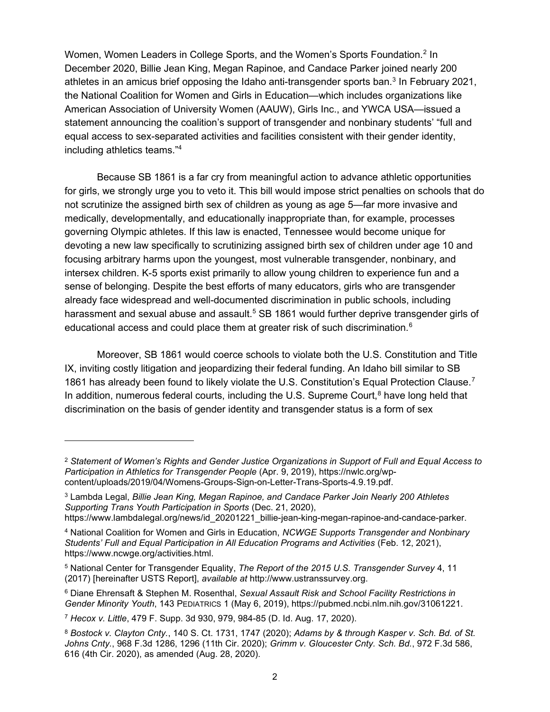Women, Women Leaders in College Sports, and the Women's Sports Foundation.<sup>2</sup> In December 2020, Billie Jean King, Megan Rapinoe, and Candace Parker joined nearly 200 athletes in an amicus brief opposing the Idaho anti-transgender sports ban.<sup>3</sup> In February 2021, the National Coalition for Women and Girls in Education—which includes organizations like American Association of University Women (AAUW), Girls Inc., and YWCA USA—issued a statement announcing the coalition's support of transgender and nonbinary students' "full and equal access to sex-separated activities and facilities consistent with their gender identity, including athletics teams."<sup>4</sup>

Because SB 1861 is a far cry from meaningful action to advance athletic opportunities for girls, we strongly urge you to veto it. This bill would impose strict penalties on schools that do not scrutinize the assigned birth sex of children as young as age 5—far more invasive and medically, developmentally, and educationally inappropriate than, for example, processes governing Olympic athletes. If this law is enacted, Tennessee would become unique for devoting a new law specifically to scrutinizing assigned birth sex of children under age 10 and focusing arbitrary harms upon the youngest, most vulnerable transgender, nonbinary, and intersex children. K-5 sports exist primarily to allow young children to experience fun and a sense of belonging. Despite the best efforts of many educators, girls who are transgender already face widespread and well-documented discrimination in public schools, including harassment and sexual abuse and assault.<sup>5</sup> SB 1861 would further deprive transgender girls of educational access and could place them at greater risk of such discrimination.<sup>6</sup>

Moreover, SB 1861 would coerce schools to violate both the U.S. Constitution and Title IX, inviting costly litigation and jeopardizing their federal funding. An Idaho bill similar to SB 1861 has already been found to likely violate the U.S. Constitution's Equal Protection Clause.<sup>7</sup> In addition, numerous federal courts, including the U.S. Supreme Court,<sup>8</sup> have long held that discrimination on the basis of gender identity and transgender status is a form of sex

<sup>&</sup>lt;sup>2</sup> Statement of Women's Rights and Gender Justice Organizations in Support of Full and Equal Access to Participation in Athletics for Transgender People (Apr. 9, 2019), https://nwlc.org/wpcontent/uploads/2019/04/Womens-Groups-Sign-on-Letter-Trans-Sports-4.9.19.pdf.

 $^3$  Lambda Legal, *Billie Jean King, Megan Rapinoe, and Candace Parker Join Nearly 200 Athletes* Supporting Trans Youth Participation in Sports (Dec. 21, 2020),

https://www.lambdalegal.org/news/id\_20201221\_billie-jean-king-megan-rapinoe-and-candace-parker.

<sup>&</sup>lt;sup>4</sup> National Coalition for Women and Girls in Education, NCWGE Supports Transgender and Nonbinary Students' Full and Equal Participation in All Education Programs and Activities (Feb. 12, 2021), https://www.ncwge.org/activities.html.

 $^5$  National Center for Transgender Equality, *The Report of the 2015 U.S. Transgender Survey* 4, 11  $^5$ (2017) [hereinafter USTS Report], available at http://www.ustranssurvey.org.

 $^6$  Diane Ehrensaft & Stephen M. Rosenthal, *Sexual Assault Risk and School Facility Restrictions in* Gender Minority Youth, 143 PEDIATRICS 1 (May 6, 2019), https://pubmed.ncbi.nlm.nih.gov/31061221.

<sup>7</sup> Hecox v. Little, 479 F. Supp. 3d 930, 979, 984-85 (D. Id. Aug. 17, 2020).

<sup>8</sup> Bostock v. Clayton Cnty., 140 S. Ct. 1731, 1747 (2020); Adams by & through Kasper v. Sch. Bd. of St. Johns Cnty., 968 F.3d 1286, 1296 (11th Cir. 2020); Grimm v. Gloucester Cnty. Sch. Bd., 972 F.3d 586, 616 (4th Cir. 2020), as amended (Aug. 28, 2020).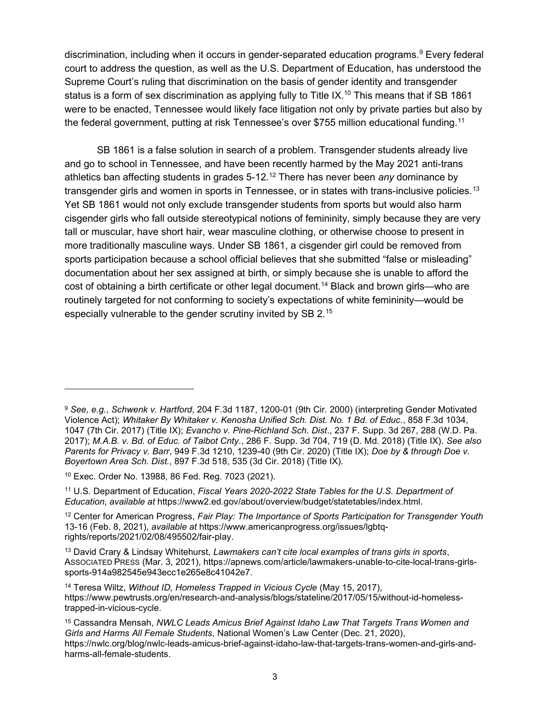discrimination, including when it occurs in gender-separated education programs.<sup>9</sup> Every federal court to address the question, as well as the U.S. Department of Education, has understood the Supreme Court's ruling that discrimination on the basis of gender identity and transgender status is a form of sex discrimination as applying fully to Title IX.<sup>10</sup> This means that if SB 1861 were to be enacted, Tennessee would likely face litigation not only by private parties but also by the federal government, putting at risk Tennessee's over \$755 million educational funding.<sup>11</sup>

SB 1861 is a false solution in search of a problem. Transgender students already live and go to school in Tennessee, and have been recently harmed by the May 2021 anti-trans athletics ban affecting students in grades  $5-12^{12}$  There has never been any dominance by transgender girls and women in sports in Tennessee, or in states with trans-inclusive policies.<sup>13</sup> Yet SB 1861 would not only exclude transgender students from sports but would also harm cisgender girls who fall outside stereotypical notions of femininity, simply because they are very tall or muscular, have short hair, wear masculine clothing, or otherwise choose to present in more traditionally masculine ways. Under SB 1861, a cisgender girl could be removed from sports participation because a school official believes that she submitted "false or misleading" documentation about her sex assigned at birth, or simply because she is unable to afford the cost of obtaining a birth certificate or other legal document.<sup>14</sup> Black and brown girls—who are routinely targeted for not conforming to society's expectations of white femininity—would be especially vulnerable to the gender scrutiny invited by SB 2.<sup>15</sup>

<sup>9</sup> See, e.g., Schwenk v. Hartford, 204 F.3d 1187, 1200-01 (9th Cir. 2000) (interpreting Gender Motivated Violence Act); Whitaker By Whitaker v. Kenosha Unified Sch. Dist. No. 1 Bd. of Educ., 858 F.3d 1034, 1047 (7th Cir. 2017) (Title IX); Evancho v. Pine-Richland Sch. Dist., 237 F. Supp. 3d 267, 288 (W.D. Pa. 2017); M.A.B. v. Bd. of Educ. of Talbot Cnty., 286 F. Supp. 3d 704, 719 (D. Md. 2018) (Title IX). See also Parents for Privacy v. Barr, 949 F.3d 1210, 1239-40 (9th Cir. 2020) (Title IX); Doe by & through Doe v. Boyertown Area Sch. Dist., 897 F.3d 518, 535 (3d Cir. 2018) (Title IX).

<sup>10</sup> Exec. Order No. 13988, 86 Fed. Reg. 7023 (2021).

<sup>11</sup> U.S. Department of Education, Fiscal Years 2020-2022 State Tables for the U.S. Department of Education, available at https://www2.ed.gov/about/overview/budget/statetables/index.html.

<sup>&</sup>lt;sup>12</sup> Center for American Progress, Fair Play: The Importance of Sports Participation for Transgender Youth 13-16 (Feb. 8, 2021), available at https://www.americanprogress.org/issues/lgbtqrights/reports/2021/02/08/495502/fair-play.

<sup>&</sup>lt;sup>13</sup> David Crary & Lindsay Whitehurst, Lawmakers can't cite local examples of trans girls in sports, ASSOCIATED PRESS (Mar. 3, 2021), https://apnews.com/article/lawmakers-unable-to-cite-local-trans-girlssports-914a982545e943ecc1e265e8c41042e7.

<sup>&</sup>lt;sup>14</sup> Teresa Wiltz, Without ID, Homeless Trapped in Vicious Cycle (May 15, 2017), https://www.pewtrusts.org/en/research-and-analysis/blogs/stateline/2017/05/15/without-id-homelesstrapped-in-vicious-cycle.

<sup>&</sup>lt;sup>15</sup> Cassandra Mensah, NWLC Leads Amicus Brief Against Idaho Law That Targets Trans Women and Girls and Harms All Female Students, National Women's Law Center (Dec. 21, 2020), https://nwlc.org/blog/nwlc-leads-amicus-brief-against-idaho-law-that-targets-trans-women-and-girls-andharms-all-female-students.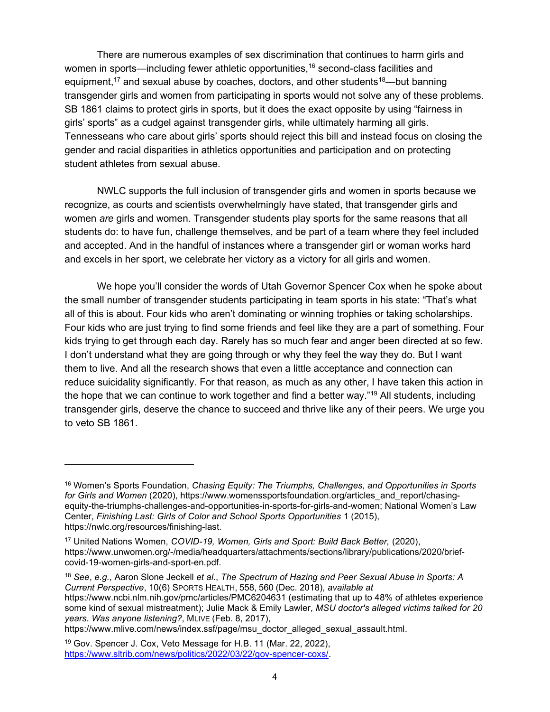There are numerous examples of sex discrimination that continues to harm girls and women in sports—including fewer athletic opportunities,<sup>16</sup> second-class facilities and equipment,<sup>17</sup> and sexual abuse by coaches, doctors, and other students<sup>18</sup>—but banning transgender girls and women from participating in sports would not solve any of these problems. SB 1861 claims to protect girls in sports, but it does the exact opposite by using "fairness in girls' sports" as a cudgel against transgender girls, while ultimately harming all girls. Tennesseans who care about girls' sports should reject this bill and instead focus on closing the gender and racial disparities in athletics opportunities and participation and on protecting student athletes from sexual abuse.

NWLC supports the full inclusion of transgender girls and women in sports because we recognize, as courts and scientists overwhelmingly have stated, that transgender girls and women are girls and women. Transgender students play sports for the same reasons that all students do: to have fun, challenge themselves, and be part of a team where they feel included and accepted. And in the handful of instances where a transgender girl or woman works hard and excels in her sport, we celebrate her victory as a victory for all girls and women.

We hope you'll consider the words of Utah Governor Spencer Cox when he spoke about the small number of transgender students participating in team sports in his state: "That's what all of this is about. Four kids who aren't dominating or winning trophies or taking scholarships. Four kids who are just trying to find some friends and feel like they are a part of something. Four kids trying to get through each day. Rarely has so much fear and anger been directed at so few. I don't understand what they are going through or why they feel the way they do. But I want them to live. And all the research shows that even a little acceptance and connection can reduce suicidality significantly. For that reason, as much as any other, I have taken this action in the hope that we can continue to work together and find a better way."<sup>19</sup> All students, including transgender girls, deserve the chance to succeed and thrive like any of their peers. We urge you to veto SB 1861.

<sup>&</sup>lt;sup>16</sup> Women's Sports Foundation, Chasing Equity: The Triumphs, Challenges, and Opportunities in Sports for Girls and Women (2020), https://www.womenssportsfoundation.org/articles\_and\_report/chasingequity-the-triumphs-challenges-and-opportunities-in-sports-for-girls-and-women; National Women's Law Center, Finishing Last: Girls of Color and School Sports Opportunities 1 (2015), https://nwlc.org/resources/finishing-last.

<sup>&</sup>lt;sup>17</sup> United Nations Women, COVID-19, Women, Girls and Sport: Build Back Better, (2020), https://www.unwomen.org/-/media/headquarters/attachments/sections/library/publications/2020/briefcovid-19-women-girls-and-sport-en.pdf.

<sup>&</sup>lt;sup>18</sup> See, e.g., Aaron Slone Jeckell et al., The Spectrum of Hazing and Peer Sexual Abuse in Sports: A Current Perspective, 10(6) SPORTS HEALTH, 558, 560 (Dec. 2018), available at https://www.ncbi.nlm.nih.gov/pmc/articles/PMC6204631 (estimating that up to 48% of athletes experience some kind of sexual mistreatment); Julie Mack & Emily Lawler, MSU doctor's alleged victims talked for 20 years. Was anyone listening?, MLIVE (Feb. 8, 2017),

https://www.mlive.com/news/index.ssf/page/msu\_doctor\_alleged\_sexual\_assault.html.

<sup>19</sup> Gov. Spencer J. Cox, Veto Message for H.B. 11 (Mar. 22, 2022), https://www.sltrib.com/news/politics/2022/03/22/gov-spencer-coxs/.